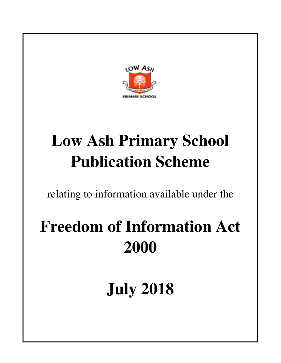

# **Low Ash Primary School Publication Scheme**

relating to information available under the

# **Freedom of Information Act 2000**

**July 2018**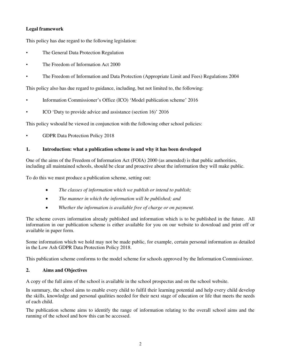# **Legal framework**

This policy has due regard to the following legislation:

- The General Data Protection Regulation
- The Freedom of Information Act 2000
- The Freedom of Information and Data Protection (Appropriate Limit and Fees) Regulations 2004

This policy also has due regard to guidance, including, but not limited to, the following:

- Information Commissioner's Office (ICO) 'Model publication scheme' 2016
- ICO 'Duty to provide advice and assistance (section 16)' 2016

This policy wshould be viewed in conjunction with the following other school policies:

• GDPR Data Protection Policy 2018

# **1. Introduction: what a publication scheme is and why it has been developed**

One of the aims of the Freedom of Information Act (FOIA) 2000 (as amended) is that public authorities, including all maintained schools, should be clear and proactive about the information they will make public.

To do this we must produce a publication scheme, setting out:

- *The classes of information which we publish or intend to publish;*
- *The manner in which the information will be published; and*
- *Whether the information is available free of charge or on payment.*

The scheme covers information already published and information which is to be published in the future. All information in our publication scheme is either available for you on our website to download and print off or available in paper form.

Some information which we hold may not be made public, for example, certain personal information as detailed in the Low Ash GDPR Data Protection Policy 2018.

This publication scheme conforms to the model scheme for schools approved by the Information Commissioner.

# **2. Aims and Objectives**

A copy of the full aims of the school is available in the school prospectus and on the school website.

In summary, the school aims to enable every child to fulfil their learning potential and help every child develop the skills, knowledge and personal qualities needed for their next stage of education or life that meets the needs of each child.

The publication scheme aims to identify the range of information relating to the overall school aims and the running of the school and how this can be accessed.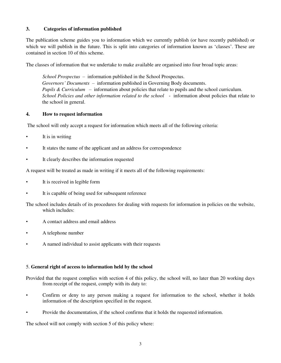# **3. Categories of information published**

The publication scheme guides you to information which we currently publish (or have recently published) or which we will publish in the future. This is split into categories of information known as 'classes'. These are contained in section 10 of this scheme.

The classes of information that we undertake to make available are organised into four broad topic areas:

 *School Prospectus* – information published in the School Prospectus. *Governors' Documents –* information published in Governing Body documents. *Pupils & Curriculum –* information about policies that relate to pupils and the school curriculum. *School Policies and other information related to the school* - information about policies that relate to the school in general.

## **4. How to request information**

The school will only accept a request for information which meets all of the following criteria:

- It is in writing
- It states the name of the applicant and an address for correspondence
- It clearly describes the information requested

A request will be treated as made in writing if it meets all of the following requirements:

- It is received in legible form
- It is capable of being used for subsequent reference

The school includes details of its procedures for dealing with requests for information in policies on the website, which includes:

- A contact address and email address
- A telephone number
- A named individual to assist applicants with their requests

## 5. **General right of access to information held by the school**

Provided that the request complies with section 4 of this policy, the school will, no later than 20 working days from receipt of the request, comply with its duty to:

- Confirm or deny to any person making a request for information to the school, whether it holds information of the description specified in the request.
- Provide the documentation, if the school confirms that it holds the requested information.

The school will not comply with section 5 of this policy where: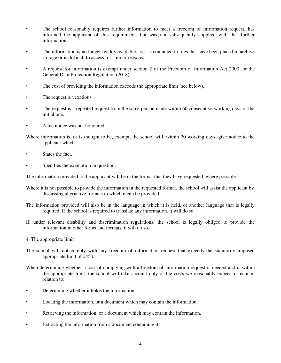- The school reasonably requires further information to meet a freedom of information request, has informed the applicant of this requirement, but was not subsequently supplied with that further information.
- The information is no longer readily available, as it is contained in files that have been placed in archive storage or is difficult to access for similar reasons.
- A request for information is exempt under section 2 of the Freedom of Information Act 2000, or the General Data Protection Regulation (2018).
- The cost of providing the information exceeds the appropriate limit (see below).
- The request is vexatious.
- The request is a repeated request from the same person made within 60 consecutive working days of the initial one.
- A fee notice was not honoured.

Where information is, or is thought to be, exempt, the school will, within 20 working days, give notice to the applicant which:

- States the fact.
- Specifies the exemption in question.

The information provided to the applicant will be in the format that they have requested, where possible.

- Where it is not possible to provide the information in the requested format, the school will assist the applicant by discussing alternative formats in which it can be provided.
- The information provided will also be in the language in which it is held, or another language that is legally required. If the school is required to translate any information, it will do so.
- If, under relevant disability and discrimination regulations, the school is legally obliged to provide the information in other forms and formats, it will do so.
- 4. The appropriate limit
- The school will not comply with any freedom of information request that exceeds the statutorily imposed appropriate limit of £450.
- When determining whether a cost of complying with a freedom of information request is needed and is within the appropriate limit, the school will take account only of the costs we reasonably expect to incur in relation to:
- Determining whether it holds the information.
- Locating the information, or a document which may contain the information.
- Retrieving the information, or a document which may contain the information.
- Extracting the information from a document containing it.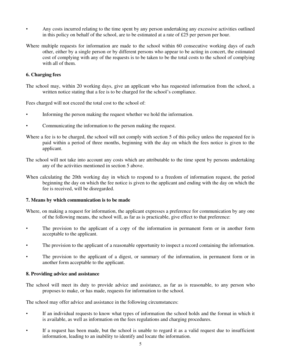- Any costs incurred relating to the time spent by any person undertaking any excessive activities outlined in this policy on behalf of the school, are to be estimated at a rate of  $£25$  per person per hour.
- Where multiple requests for information are made to the school within 60 consecutive working days of each other, either by a single person or by different persons who appear to be acting in concert, the estimated cost of complying with any of the requests is to be taken to be the total costs to the school of complying with all of them.

### **6. Charging fees**

The school may, within 20 working days, give an applicant who has requested information from the school, a written notice stating that a fee is to be charged for the school's compliance.

Fees charged will not exceed the total cost to the school of:

- Informing the person making the request whether we hold the information.
- Communicating the information to the person making the request.
- Where a fee is to be charged, the school will not comply with section 5 of this policy unless the requested fee is paid within a period of three months, beginning with the day on which the fees notice is given to the applicant.
- The school will not take into account any costs which are attributable to the time spent by persons undertaking any of the activities mentioned in section 5 above.
- When calculating the 20th working day in which to respond to a freedom of information request, the period beginning the day on which the fee notice is given to the applicant and ending with the day on which the fee is received, will be disregarded.

#### **7. Means by which communication is to be made**

- Where, on making a request for information, the applicant expresses a preference for communication by any one of the following means, the school will, as far as is practicable, give effect to that preference:
- The provision to the applicant of a copy of the information in permanent form or in another form acceptable to the applicant.
- The provision to the applicant of a reasonable opportunity to inspect a record containing the information.
- The provision to the applicant of a digest, or summary of the information, in permanent form or in another form acceptable to the applicant.

#### **8. Providing advice and assistance**

The school will meet its duty to provide advice and assistance, as far as is reasonable, to any person who proposes to make, or has made, requests for information to the school.

The school may offer advice and assistance in the following circumstances:

- If an individual requests to know what types of information the school holds and the format in which it is available, as well as information on the fees regulations and charging procedures.
- If a request has been made, but the school is unable to regard it as a valid request due to insufficient information, leading to an inability to identify and locate the information.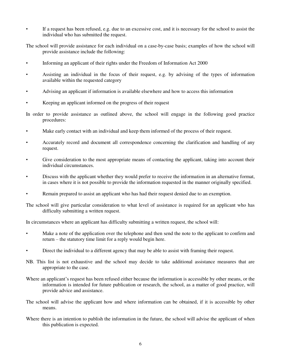• If a request has been refused, e.g. due to an excessive cost, and it is necessary for the school to assist the individual who has submitted the request.

The school will provide assistance for each individual on a case-by-case basis; examples of how the school will provide assistance include the following:

- Informing an applicant of their rights under the Freedom of Information Act 2000
- Assisting an individual in the focus of their request, e.g. by advising of the types of information available within the requested category
- Advising an applicant if information is available elsewhere and how to access this information
- Keeping an applicant informed on the progress of their request

In order to provide assistance as outlined above, the school will engage in the following good practice procedures:

- Make early contact with an individual and keep them informed of the process of their request.
- Accurately record and document all correspondence concerning the clarification and handling of any request.
- Give consideration to the most appropriate means of contacting the applicant, taking into account their individual circumstances.
- Discuss with the applicant whether they would prefer to receive the information in an alternative format, in cases where it is not possible to provide the information requested in the manner originally specified.
- Remain prepared to assist an applicant who has had their request denied due to an exemption.

The school will give particular consideration to what level of assistance is required for an applicant who has difficulty submitting a written request.

In circumstances where an applicant has difficulty submitting a written request, the school will:

- Make a note of the application over the telephone and then send the note to the applicant to confirm and return – the statutory time limit for a reply would begin here.
- Direct the individual to a different agency that may be able to assist with framing their request.
- NB. This list is not exhaustive and the school may decide to take additional assistance measures that are appropriate to the case.
- Where an applicant's request has been refused either because the information is accessible by other means, or the information is intended for future publication or research, the school, as a matter of good practice, will provide advice and assistance.
- The school will advise the applicant how and where information can be obtained, if it is accessible by other means.
- Where there is an intention to publish the information in the future, the school will advise the applicant of when this publication is expected.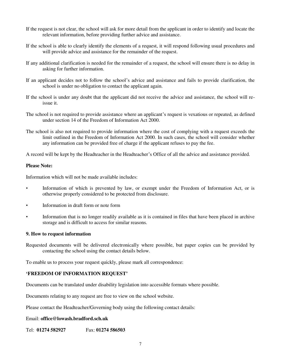- If the request is not clear, the school will ask for more detail from the applicant in order to identify and locate the relevant information, before providing further advice and assistance.
- If the school is able to clearly identify the elements of a request, it will respond following usual procedures and will provide advice and assistance for the remainder of the request.
- If any additional clarification is needed for the remainder of a request, the school will ensure there is no delay in asking for further information.
- If an applicant decides not to follow the school's advice and assistance and fails to provide clarification, the school is under no obligation to contact the applicant again.
- If the school is under any doubt that the applicant did not receive the advice and assistance, the school will reissue it.
- The school is not required to provide assistance where an applicant's request is vexatious or repeated, as defined under section 14 of the Freedom of Information Act 2000.
- The school is also not required to provide information where the cost of complying with a request exceeds the limit outlined in the Freedom of Information Act 2000. In such cases, the school will consider whether any information can be provided free of charge if the applicant refuses to pay the fee.

A record will be kept by the Headteacher in the Headteacher's Office of all the advice and assistance provided.

#### **Please Note:**

Information which will not be made available includes:

- Information of which is prevented by law, or exempt under the Freedom of Information Act, or is otherwise properly considered to be protected from disclosure.
- Information in draft form or note form
- Information that is no longer readily available as it is contained in files that have been placed in archive storage and is difficult to access for similar reasons.

#### **9. How to request information**

Requested documents will be delivered electronically where possible, but paper copies can be provided by contacting the school using the contact details below.

To enable us to process your request quickly, please mark all correspondence:

## **'FREEDOM OF INFORMATION REQUEST'**

Documents can be translated under disability legislation into accessible formats where possible.

Documents relating to any request are free to view on the school website.

Please contact the Headteacher/Governing body using the following contact details:

#### Email: **office@lowash.bradford.sch.uk**

Tel: **01274 582927** Fax: **01274 586503**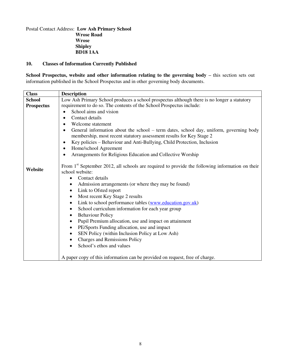# Postal Contact Address: **Low Ash Primary School Wrose Road Wrose Shipley BD18 1AA**

# **10. Classes of Information Currently Published**

**School Prospectus, website and other information relating to the governing body – this section sets out** information published in the School Prospectus and in other governing body documents.

| <b>Class</b>      | <b>Description</b>                                                                                                                                                                                                                                                                                                                                                                                                                                                                                                                                                                                                                                                                                                               |
|-------------------|----------------------------------------------------------------------------------------------------------------------------------------------------------------------------------------------------------------------------------------------------------------------------------------------------------------------------------------------------------------------------------------------------------------------------------------------------------------------------------------------------------------------------------------------------------------------------------------------------------------------------------------------------------------------------------------------------------------------------------|
| <b>School</b>     | Low Ash Primary School produces a school prospectus although there is no longer a statutory                                                                                                                                                                                                                                                                                                                                                                                                                                                                                                                                                                                                                                      |
| <b>Prospectus</b> | requirement to do so. The contents of the School Prospectus include:                                                                                                                                                                                                                                                                                                                                                                                                                                                                                                                                                                                                                                                             |
|                   | School aims and vision                                                                                                                                                                                                                                                                                                                                                                                                                                                                                                                                                                                                                                                                                                           |
|                   | Contact details<br>$\bullet$                                                                                                                                                                                                                                                                                                                                                                                                                                                                                                                                                                                                                                                                                                     |
|                   | Welcome statement<br>$\bullet$                                                                                                                                                                                                                                                                                                                                                                                                                                                                                                                                                                                                                                                                                                   |
|                   | General information about the school – term dates, school day, uniform, governing body<br>$\bullet$                                                                                                                                                                                                                                                                                                                                                                                                                                                                                                                                                                                                                              |
|                   | membership, most recent statutory assessment results for Key Stage 2                                                                                                                                                                                                                                                                                                                                                                                                                                                                                                                                                                                                                                                             |
|                   | Key policies - Behaviour and Anti-Bullying, Child Protection, Inclusion<br>$\bullet$                                                                                                                                                                                                                                                                                                                                                                                                                                                                                                                                                                                                                                             |
|                   | Home/school Agreement<br>$\bullet$                                                                                                                                                                                                                                                                                                                                                                                                                                                                                                                                                                                                                                                                                               |
|                   | Arrangements for Religious Education and Collective Worship<br>$\bullet$                                                                                                                                                                                                                                                                                                                                                                                                                                                                                                                                                                                                                                                         |
| Website           | From 1 <sup>st</sup> September 2012, all schools are required to provide the following information on their<br>school website:<br>Contact details<br>Admission arrangements (or where they may be found)<br>Link to Ofsted report<br>$\bullet$<br>Most recent Key Stage 2 results<br>$\bullet$<br>Link to school performance tables (www.education.gov.uk)<br>$\bullet$<br>School curriculum information for each year group<br><b>Behaviour Policy</b><br>$\bullet$<br>Pupil Premium allocation, use and impact on attainment<br>$\bullet$<br>PE/Sports Funding allocation, use and impact<br>SEN Policy (within Inclusion Policy at Low Ash)<br>$\bullet$<br><b>Charges and Remissions Policy</b><br>School's ethos and values |
|                   | A paper copy of this information can be provided on request, free of charge.                                                                                                                                                                                                                                                                                                                                                                                                                                                                                                                                                                                                                                                     |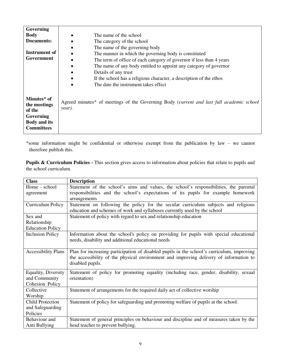| Governing                                                                                      |                                                                                                    |
|------------------------------------------------------------------------------------------------|----------------------------------------------------------------------------------------------------|
| <b>Body</b>                                                                                    | The name of the school                                                                             |
| Documents:                                                                                     | The category of the school                                                                         |
|                                                                                                | The name of the governing body                                                                     |
| Instrument of                                                                                  | The manner in which the governing body is constituted                                              |
| Government                                                                                     | The term of office of each category of governor if less than 4 years                               |
|                                                                                                | The name of any body entitled to appoint any category of governor                                  |
|                                                                                                | Details of any trust                                                                               |
|                                                                                                | If the school has a religious character, a description of the ethos                                |
|                                                                                                | The date the instrument takes effect                                                               |
|                                                                                                |                                                                                                    |
| Minutes* of<br>the meetings<br>of the<br>Governing<br><b>Body and its</b><br><b>Committees</b> | Agreed minutes* of meetings of the Governing Body (current and last full academic school<br>year). |

\*some information might be confidential or otherwise exempt from the publication by law – we cannot therefore publish this.

**Pupils & Curriculum Policies -** This section gives access to information about policies that relate to pupils and the school curriculum.

| <b>Class</b>               | <b>Description</b>                                                                                                                                                                                       |
|----------------------------|----------------------------------------------------------------------------------------------------------------------------------------------------------------------------------------------------------|
| $Home - school$            | Statement of the school's aims and values, the school's responsibilities, the parental                                                                                                                   |
| agreement                  | responsibilities and the school's expectations of its pupils for example homework                                                                                                                        |
|                            | arrangements                                                                                                                                                                                             |
| Curriculum Policy          | Statement on following the policy for the secular curriculum subjects and religious                                                                                                                      |
|                            | education and schemes of work and syllabuses currently used by the school                                                                                                                                |
| Sex and                    | Statement of policy with regard to sex and relationship education                                                                                                                                        |
| Relationship               |                                                                                                                                                                                                          |
| <b>Education Policy</b>    |                                                                                                                                                                                                          |
| <b>Inclusion Policy</b>    | Information about the school's policy on providing for pupils with special educational<br>needs, disability and additional educational needs                                                             |
|                            |                                                                                                                                                                                                          |
| <b>Accessibility Plans</b> | Plan for increasing participation of disabled pupils in the school's curriculum, improving<br>the accessibility of the physical environment and improving delivery of information to<br>disabled pupils. |
| Equality, Diversity        | Statement of policy for promoting equality (including race, gender, disability, sexual                                                                                                                   |
| and Community              | orientation)                                                                                                                                                                                             |
| Cohesion Policy            |                                                                                                                                                                                                          |
| Collective                 | Statement of arrangements for the required daily act of collective worship                                                                                                                               |
| Worship                    |                                                                                                                                                                                                          |
| <b>Child Protection</b>    | Statement of policy for safeguarding and promoting welfare of pupils at the school.                                                                                                                      |
| and Safeguarding           |                                                                                                                                                                                                          |
| Policies                   |                                                                                                                                                                                                          |
| Behaviour and              | Statement of general principles on behaviour and discipline and of measures taken by the                                                                                                                 |
| Anti Bullying              | head teacher to prevent bullying.                                                                                                                                                                        |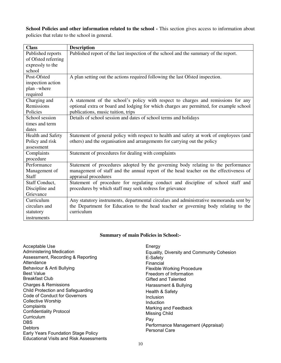School Policies and other information related to the school - This section gives access to information about policies that relate to the school in general.

| <b>Class</b>             | <b>Description</b>                                                                      |
|--------------------------|-----------------------------------------------------------------------------------------|
| Published reports        | Published report of the last inspection of the school and the summary of the report.    |
| of Ofsted referring      |                                                                                         |
| expressly to the         |                                                                                         |
| school                   |                                                                                         |
| Post-Ofsted              | A plan setting out the actions required following the last Ofsted inspection.           |
| inspection action        |                                                                                         |
| plan -where              |                                                                                         |
| required                 |                                                                                         |
| Charging and             | A statement of the school's policy with respect to charges and remissions for any       |
| Remissions               | optional extra or board and lodging for which charges are permitted, for example school |
| Policies                 | publications, music tuition, trips                                                      |
| School session           | Details of school session and dates of school terms and holidays                        |
| times and term           |                                                                                         |
| dates                    |                                                                                         |
| <b>Health and Safety</b> | Statement of general policy with respect to health and safety at work of employees (and |
| Policy and risk          | others) and the organisation and arrangements for carrying out the policy               |
| assessment               |                                                                                         |
| Complaints               | Statement of procedures for dealing with complaints                                     |
| procedure                |                                                                                         |
| Performance              | Statement of procedures adopted by the governing body relating to the performance       |
| Management of            | management of staff and the annual report of the head teacher on the effectiveness of   |
| <b>Staff</b>             | appraisal procedures                                                                    |
| Staff Conduct,           | Statement of procedure for regulating conduct and discipline of school staff and        |
| Discipline and           | procedures by which staff may seek redress for grievance                                |
| Grievance                |                                                                                         |
| Curriculum               | Any statutory instruments, departmental circulars and administrative memoranda sent by  |
| circulars and            | the Department for Education to the head teacher or governing body relating to the      |
| statutory                | curriculum                                                                              |
| instruments              |                                                                                         |

# **Summary of main Policies in School:-**

| Acceptable Use                                 |
|------------------------------------------------|
| <b>Administering Medication</b>                |
| Assessment, Recording & Reporting              |
| Attendance                                     |
| Behaviour & Anti Bullying                      |
| <b>Best Value</b>                              |
| <b>Breakfast Club</b>                          |
| Charges & Remissions                           |
| Child Protection and Safeguarding              |
| Code of Conduct for Governors                  |
| Collective Worship                             |
| Complaints                                     |
| <b>Confidentiality Protocol</b>                |
| Curriculum                                     |
| DBS                                            |
| Debtors                                        |
| Early Years Foundation Stage Policy            |
| <b>Educational Visits and Risk Assessments</b> |

Energy Equality, Diversity and Community Cohesion E-Safety Financial Flexible Working Procedure Freedom of Information Gifted and Talented Harassment & Bullying Health & Safety Inclusion Induction Marking and Feedback Missing Child Pay Performance Management (Appraisal) Personal Care